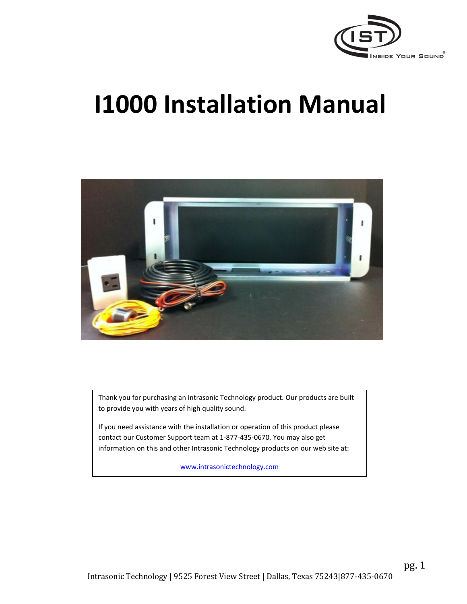

# **I1000 Installation Manual**



Thank you for purchasing an Intrasonic Technology product. Our products are built to provide you with years of high quality sound.

If you need assistance with the installation or operation of this product please contact our Customer Support team at 1-877-435-0670. You may also get information on this and other Intrasonic Technology products on our web site at:

[www.intrasonictechnology.com](http://www.intrasonictechnology.com/)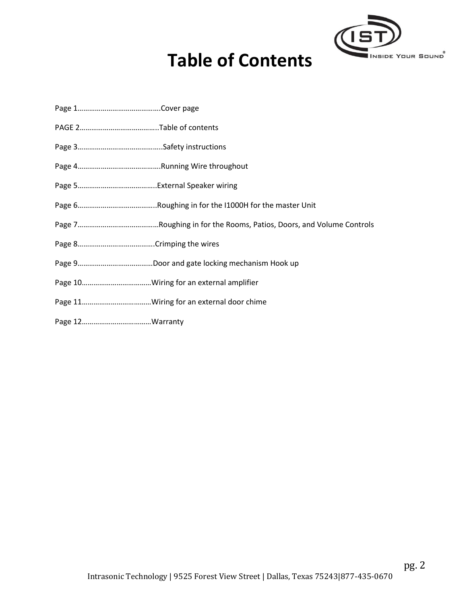

## **Table of Contents**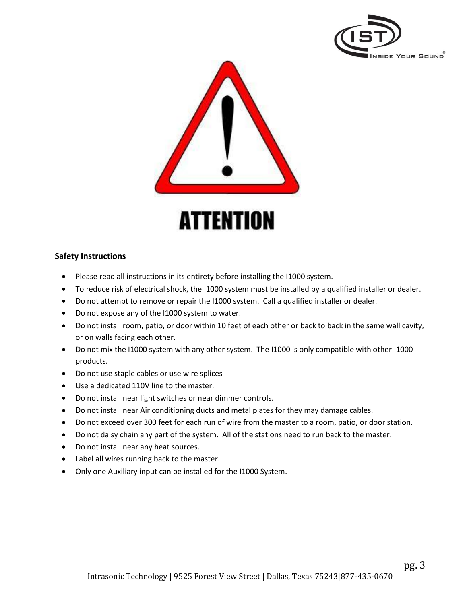



### **Safety Instructions**

- Please read all instructions in its entirety before installing the I1000 system.
- To reduce risk of electrical shock, the I1000 system must be installed by a qualified installer or dealer.
- Do not attempt to remove or repair the I1000 system. Call a qualified installer or dealer.
- Do not expose any of the I1000 system to water.
- Do not install room, patio, or door within 10 feet of each other or back to back in the same wall cavity, or on walls facing each other.
- Do not mix the I1000 system with any other system. The I1000 is only compatible with other I1000 products.
- Do not use staple cables or use wire splices
- Use a dedicated 110V line to the master.
- Do not install near light switches or near dimmer controls.
- Do not install near Air conditioning ducts and metal plates for they may damage cables.
- Do not exceed over 300 feet for each run of wire from the master to a room, patio, or door station.
- Do not daisy chain any part of the system. All of the stations need to run back to the master.
- Do not install near any heat sources.
- Label all wires running back to the master.
- Only one Auxiliary input can be installed for the I1000 System.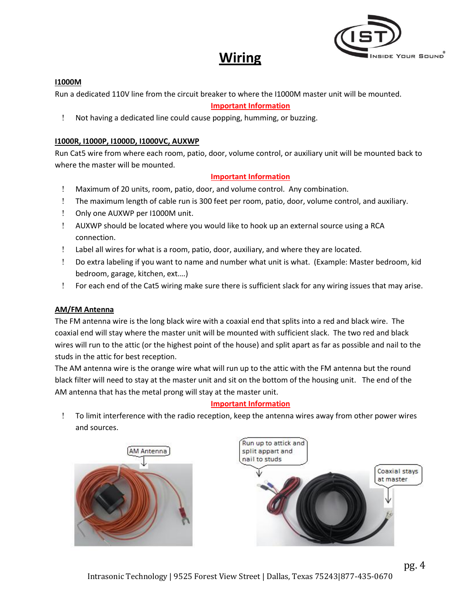### **Wiring**



### **I1000M**

Run a dedicated 110V line from the circuit breaker to where the I1000M master unit will be mounted.

### **Important Information**

Not having a dedicated line could cause popping, humming, or buzzing.

### **I1000R, I1000P, I1000D, I1000VC, AUXWP**

Run Cat5 wire from where each room, patio, door, volume control, or auxiliary unit will be mounted back to where the master will be mounted.

### **Important Information**

- Maximum of 20 units, room, patio, door, and volume control. Any combination.
- The maximum length of cable run is 300 feet per room, patio, door, volume control, and auxiliary.
- ! Only one AUXWP per I1000M unit.
- AUXWP should be located where you would like to hook up an external source using a RCA connection.
- Label all wires for what is a room, patio, door, auxiliary, and where they are located.
- Do extra labeling if you want to name and number what unit is what. (Example: Master bedroom, kid bedroom, garage, kitchen, ext.…)
- For each end of the Cat5 wiring make sure there is sufficient slack for any wiring issues that may arise.

#### **AM/FM Antenna**

The FM antenna wire is the long black wire with a coaxial end that splits into a red and black wire. The coaxial end will stay where the master unit will be mounted with sufficient slack. The two red and black wires will run to the attic (or the highest point of the house) and split apart as far as possible and nail to the studs in the attic for best reception.

The AM antenna wire is the orange wire what will run up to the attic with the FM antenna but the round black filter will need to stay at the master unit and sit on the bottom of the housing unit. The end of the AM antenna that has the metal prong will stay at the master unit.

#### **Important Information**

 To limit interference with the radio reception, keep the antenna wires away from other power wires and sources.



pg. 4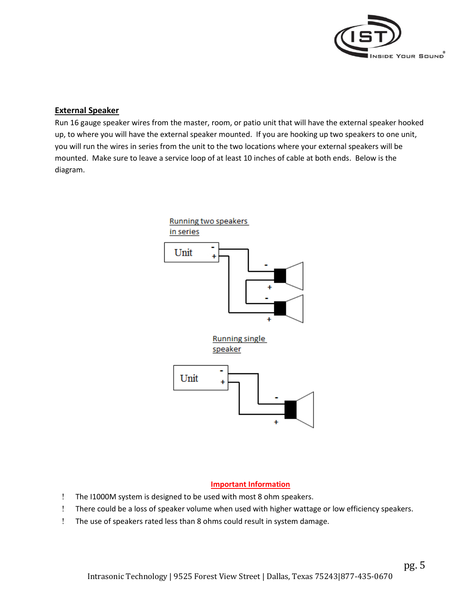

### **External Speaker**

Run 16 gauge speaker wires from the master, room, or patio unit that will have the external speaker hooked up, to where you will have the external speaker mounted. If you are hooking up two speakers to one unit, you will run the wires in series from the unit to the two locations where your external speakers will be mounted. Make sure to leave a service loop of at least 10 inches of cable at both ends. Below is the diagram.



### **Important Information**

- The I1000M system is designed to be used with most 8 ohm speakers.
- There could be a loss of speaker volume when used with higher wattage or low efficiency speakers.
- The use of speakers rated less than 8 ohms could result in system damage.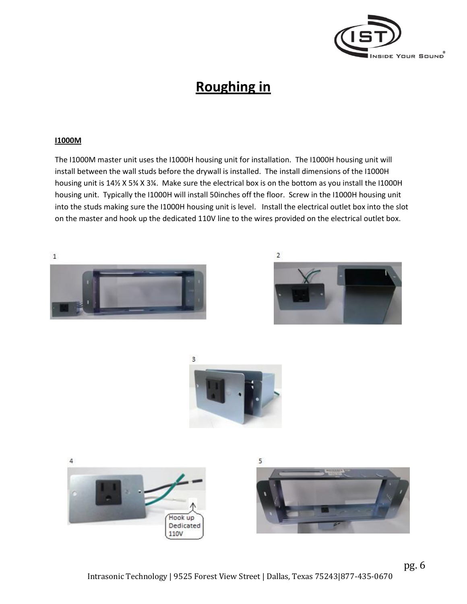

### **Roughing in**

#### **I1000M**

The I1000M master unit uses the I1000H housing unit for installation. The I1000H housing unit will install between the wall studs before the drywall is installed. The install dimensions of the I1000H housing unit is 14½ X 5¾ X 3¼. Make sure the electrical box is on the bottom as you install the I1000H housing unit. Typically the I1000H will install 50inches off the floor. Screw in the I1000H housing unit into the studs making sure the I1000H housing unit is level. Install the electrical outlet box into the slot on the master and hook up the dedicated 110V line to the wires provided on the electrical outlet box.







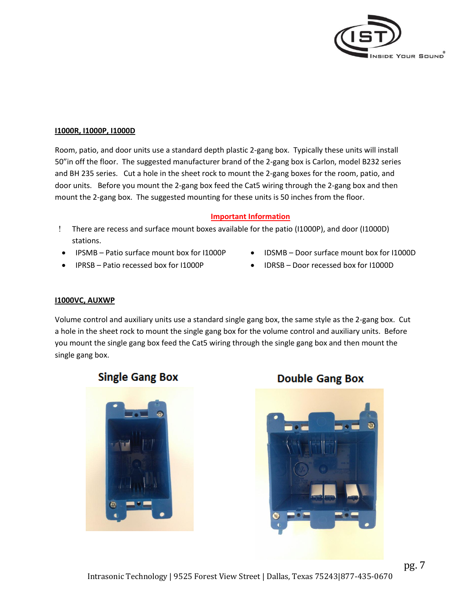

#### **I1000R, I1000P, I1000D**

Room, patio, and door units use a standard depth plastic 2-gang box. Typically these units will install 50"in off the floor. The suggested manufacturer brand of the 2-gang box is Carlon, model B232 series and BH 235 series. Cut a hole in the sheet rock to mount the 2-gang boxes for the room, patio, and door units. Before you mount the 2-gang box feed the Cat5 wiring through the 2-gang box and then mount the 2-gang box. The suggested mounting for these units is 50 inches from the floor.

#### **Important Information**

- There are recess and surface mount boxes available for the patio (I1000P), and door (I1000D) stations.
- IPSMB Patio surface mount box for I1000P
- IPRSB Patio recessed box for I1000P
- IDSMB Door surface mount box for I1000D
- IDRSB Door recessed box for I1000D

#### **I1000VC, AUXWP**

Volume control and auxiliary units use a standard single gang box, the same style as the 2-gang box. Cut a hole in the sheet rock to mount the single gang box for the volume control and auxiliary units. Before you mount the single gang box feed the Cat5 wiring through the single gang box and then mount the single gang box.

### **Single Gang Box**



**Double Gang Box** 

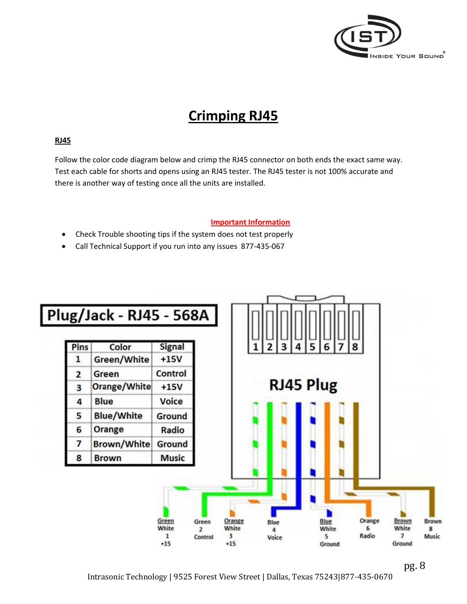

### **Crimping RJ45**

### **RJ45**

Follow the color code diagram below and crimp the RJ45 connector on both ends the exact same way. Test each cable for shorts and opens using an RJ45 tester. The RJ45 tester is not 100% accurate and there is another way of testing once all the units are installed.

### **Important Information**

- Check Trouble shooting tips if the system does not test properly
- Call Technical Support if you run into any issues 877-435-067



pg. 8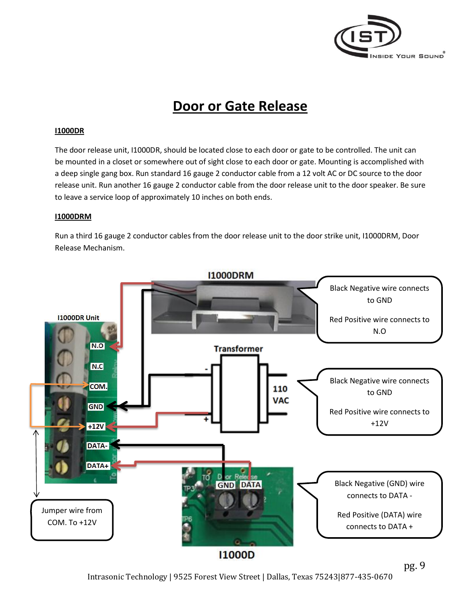

### **Door or Gate Release**

### **I1000DR**

The door release unit, I1000DR, should be located close to each door or gate to be controlled. The unit can be mounted in a closet or somewhere out of sight close to each door or gate. Mounting is accomplished with a deep single gang box. Run standard 16 gauge 2 conductor cable from a 12 volt AC or DC source to the door release unit. Run another 16 gauge 2 conductor cable from the door release unit to the door speaker. Be sure to leave a service loop of approximately 10 inches on both ends.

#### **I1000DRM**

Run a third 16 gauge 2 conductor cables from the door release unit to the door strike unit, I1000DRM, Door Release Mechanism.



**I1000D**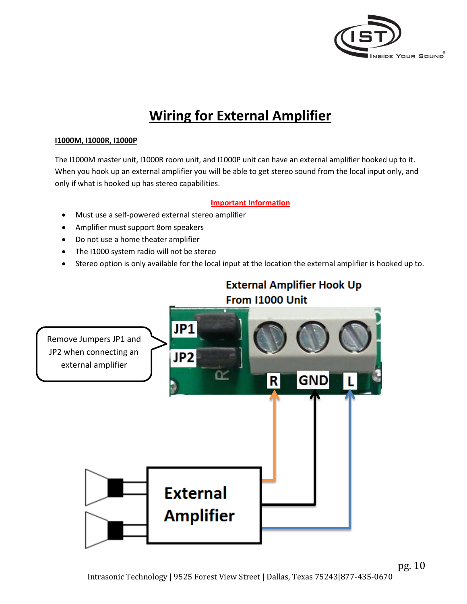

### **Wiring for External Amplifier**

### **I1000M, I1000R, I1000P**

The I1000M master unit, I1000R room unit, and I1000P unit can have an external amplifier hooked up to it. When you hook up an external amplifier you will be able to get stereo sound from the local input only, and only if what is hooked up has stereo capabilities.

### **Important Information**

- Must use a self-powered external stereo amplifier
- Amplifier must support 8om speakers
- Do not use a home theater amplifier
- The I1000 system radio will not be stereo
- Stereo option is only available for the local input at the location the external amplifier is hooked up to.



pg. 10 Intrasonic Technology | 9525 Forest View Street | Dallas, Texas 75243|877-435-0670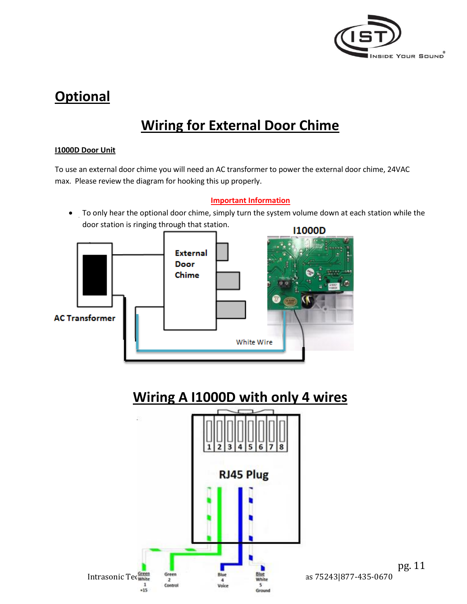

### **Optional**

### **Wiring for External Door Chime**

#### **I1000D Door Unit**

To use an external door chime you will need an AC transformer to power the external door chime, 24VAC max. Please review the diagram for hooking this up properly.

### **Important Information**

 $\bullet$  To only hear the optional door chime, simply turn the system volume down at each station while the door station is ringing through that station.



### **Wiring A I1000D with only 4 wires**

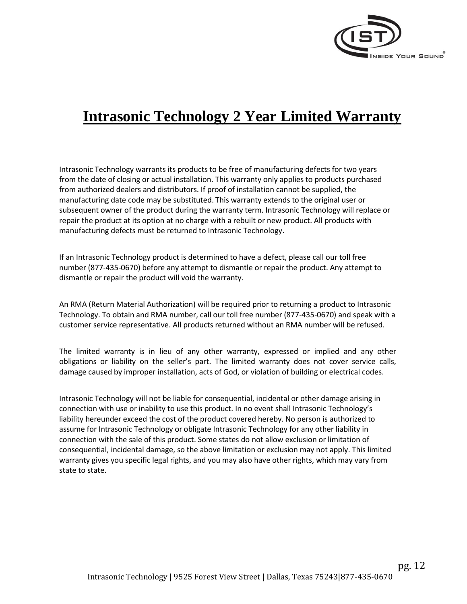

### **Intrasonic Technology 2 Year Limited Warranty**

Intrasonic Technology warrants its products to be free of manufacturing defects for two years from the date of closing or actual installation. This warranty only applies to products purchased from authorized dealers and distributors. If proof of installation cannot be supplied, the manufacturing date code may be substituted. This warranty extends to the original user or subsequent owner of the product during the warranty term. Intrasonic Technology will replace or repair the product at its option at no charge with a rebuilt or new product. All products with manufacturing defects must be returned to Intrasonic Technology.

If an Intrasonic Technology product is determined to have a defect, please call our toll free number (877-435-0670) before any attempt to dismantle or repair the product. Any attempt to dismantle or repair the product will void the warranty.

An RMA (Return Material Authorization) will be required prior to returning a product to Intrasonic Technology. To obtain and RMA number, call our toll free number (877-435-0670) and speak with a customer service representative. All products returned without an RMA number will be refused.

The limited warranty is in lieu of any other warranty, expressed or implied and any other obligations or liability on the seller's part. The limited warranty does not cover service calls, damage caused by improper installation, acts of God, or violation of building or electrical codes.

Intrasonic Technology will not be liable for consequential, incidental or other damage arising in connection with use or inability to use this product. In no event shall Intrasonic Technology's liability hereunder exceed the cost of the product covered hereby. No person is authorized to assume for Intrasonic Technology or obligate Intrasonic Technology for any other liability in connection with the sale of this product. Some states do not allow exclusion or limitation of consequential, incidental damage, so the above limitation or exclusion may not apply. This limited warranty gives you specific legal rights, and you may also have other rights, which may vary from state to state.